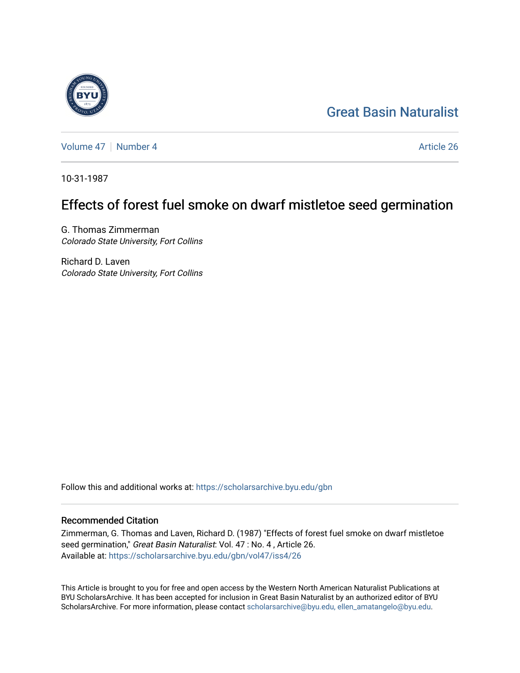# [Great Basin Naturalist](https://scholarsarchive.byu.edu/gbn)

[Volume 47](https://scholarsarchive.byu.edu/gbn/vol47) | [Number 4](https://scholarsarchive.byu.edu/gbn/vol47/iss4) Article 26

10-31-1987

## Effects of forest fuel smoke on dwarf mistletoe seed germination

G. Thomas Zimmerman Colorado State University, Fort Collins

Richard D. Laven Colorado State University, Fort Collins

Follow this and additional works at: [https://scholarsarchive.byu.edu/gbn](https://scholarsarchive.byu.edu/gbn?utm_source=scholarsarchive.byu.edu%2Fgbn%2Fvol47%2Fiss4%2F26&utm_medium=PDF&utm_campaign=PDFCoverPages) 

### Recommended Citation

Zimmerman, G. Thomas and Laven, Richard D. (1987) "Effects of forest fuel smoke on dwarf mistletoe seed germination," Great Basin Naturalist: Vol. 47 : No. 4 , Article 26. Available at: [https://scholarsarchive.byu.edu/gbn/vol47/iss4/26](https://scholarsarchive.byu.edu/gbn/vol47/iss4/26?utm_source=scholarsarchive.byu.edu%2Fgbn%2Fvol47%2Fiss4%2F26&utm_medium=PDF&utm_campaign=PDFCoverPages) 

This Article is brought to you for free and open access by the Western North American Naturalist Publications at BYU ScholarsArchive. It has been accepted for inclusion in Great Basin Naturalist by an authorized editor of BYU ScholarsArchive. For more information, please contact [scholarsarchive@byu.edu, ellen\\_amatangelo@byu.edu.](mailto:scholarsarchive@byu.edu,%20ellen_amatangelo@byu.edu)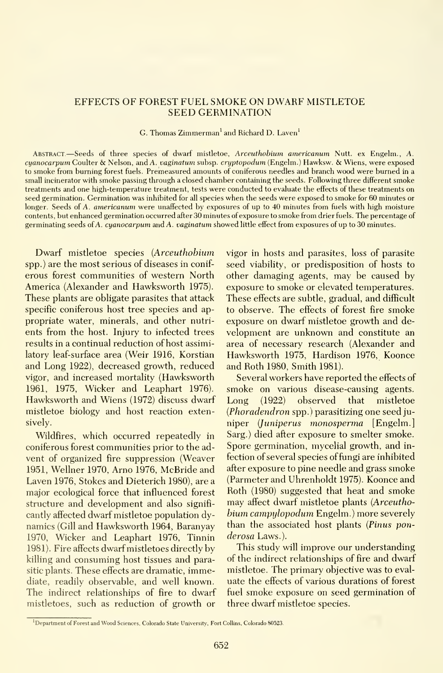#### EFFECTS OF FOREST FUEL SMOKE ON DWARF MISTLETOE SEED GERMINATION

G. Thomas Zimmerman' and Richard D. Laven'

Abstract. —Seeds of three species of dwarf mistletoe, Arceuthobium americanum Nutt. ex Engelm., A. cyanocarpum Coulter & Nelson, and A. vaginatum subsp. cryptopodwn (Engelm.) Hawksw. & Wiens, were exposed to smoke from burning forest fuels. Premeasured amounts of coniferous needles and branch wood were burned in <sup>a</sup> small incinerator with smoke passing through a closed chamber containing the seeds. Following three different smoke treatments and one high-temperature treatment, tests were conducted to evaluate the effects of these treatments on seed germination. Germination was inhibited for all species when the seeds were exposed to smoke for 60 minutes or longer. Seeds of A. americanum were unaffected by exposures of up to 40 minutes from fuels with high moisture contents, but enhanced germination occurred after 30 minutes of exposure to smoke from drier fuels. The percentage of germinating seeds of A. cyanocarpum and A. vaginatum showed Httle effect from exposures of up to 30 minutes.

Dwarf mistletoe species (Arceuthobium spp.) are the most serious of diseases in conif erous forest communities of western North America (Alexander and Hawksworth 1975). These plants are obligate parasites that attack specific coniferous host tree species and ap propriate water, minerals, and other nutri ents from the host. Injury to infected trees results in a continual reduction of host assimilatory leaf-surface area (Weir 1916, Korstian and Long 1922), decreased growth, reduced vigor, and increased mortality (Hawksworth 1961, 1975, Wicker and Leaphart 1976). Hawksworth and Wiens (1972) discuss dwarf mistletoe biology and host reaction extensively.

Wildfires, which occurred repeatedly in coniferous forest communities prior to the ad vent of organized fire suppression (Weaver 1951, Wellner 1970, Arno 1976, McRride and Laven 1976, Stokes and Dieterich 1980), are a major ecological force that influenced forest structure and development and also significantly affected dwarf mistletoe population dynamics (Gill and Hawksworth 1964, Baranyay 1970, Wicker and Leaphart 1976, Tinnin 1981). Fire affects dwarf mistletoes directly by killing and consuming host tissues and parasitic plants. These effects are dramatic, immediate, readily observable, and well known. The indirect relationships of fire to dwarf mistletoes, such as reduction of growth or

vigor in hosts and parasites, loss of parasite seed viability, or predisposition of hosts to other damaging agents, may be caused by exposure to smoke or elevated temperatures. These effects are subtle, gradual, and difficult to observe. The effects of forest fire smoke exposure on dwarf mistletoe growth and development are unknown and constitute an area of necessary research (Alexander and Hawksworth 1975, Hardison 1976, Koonce and Roth 1980, Smith 1981).

Several workers have reported the effects of smoke on various disease-causing agents.  $(1922)$  observed that mistletoe (Phoradendron spp.) parasitizing one seed juniper (Juniperus monosperma [Engelm.] Sarg.) died after exposure to smelter smoke. Spore germination, mycelial growth, and in fection of several species of fungi are inhibited after exposure to pine needle and grass smoke (Parmeter and Uhrenholdt 1975). Koonce and Roth (1980) suggested that heat and smoke may affect dwarf mistletoe plants (Arceuthobium campulopodum Engelm.) more severely than the associated host plants (Pinus ponderosa Laws.).

This study will improve our understanding of the indirect relationships of fire and dwarf mistletoe. The primary objective was to eval uate the effects of various durations of forest fuel smoke exposure on seed germination of three dwarf mistletoe species.

<sup>&</sup>lt;sup>1</sup>Department of Forest and Wood Sciences, Colorado State University, Fort Collins, Colorado 80523.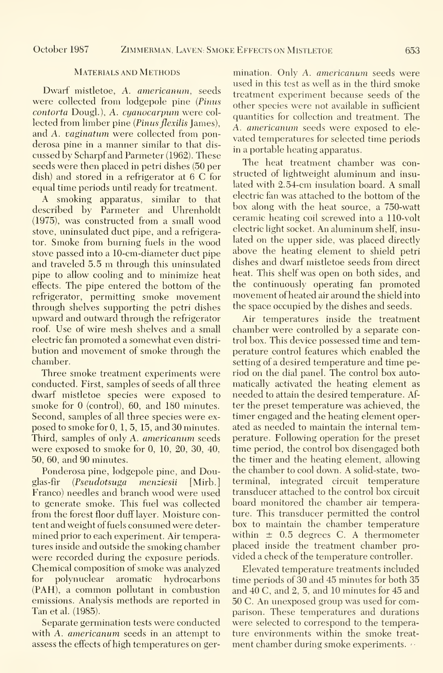#### Materials and Methods

Dwarf mistletoe, A. americanum, seeds were collected from lodgepole pine (Pinus contorta Dougl.), A. cyanocarpum were collected from limber pine (Pinus flexilis James), and A. vaginatum were collected from ponderosa pine in a manner similar to that dis cussed by Scharpf and Parmeter (1962). These seeds were then placed in petri dishes (50 per dish) and stored in <sup>a</sup> refrigerator at 6 C for equal time periods until ready for treatment.

A smoking apparatus, similar to that described by Parmeter and Uhrenholdt (1975), was constructed from a small wood stove, uninsulated duct pipe, and a refrigerator. Smoke from burning fuels in the wood stove passed into a 10-cm-diameter duct pipe and traveled 5.5 m through this uninsulated pipe to allow cooling and to minimize heat effects. The pipe entered the bottom of the refrigerator, permitting smoke movement through shelves supporting the petri dishes upward and outward through the refrigerator roof. Use of wire mesh shelves and a small electric fan promoted a somewhat even distri bution and movement of smoke through the chamber.

Three smoke treatment experiments were conducted. First, samples of seeds of all three dwarf mistletoe species were exposed to smoke for 0 (control), 60, and 180 minutes. Second, samples of all three species were ex posed to smoke for 0, 1,5, 15, and 30 minutes. Third, samples of only A. americanum seeds were exposed to smoke for 0, 10, 20, 30, 40, 50, 60, and 90 minutes.

Ponderosa pine, lodgepole pine, and Douglas-fir {Pseudotsuga menziesii [Mirb.] Franco) needles and branch wood were used to generate smoke. This fuel was collected from the forest floor duff layer. Moisture content and weight of fuels consumed were deter mined prior to each experiment. Air temperatures inside and outside the smoking chamber were recorded during the exposure periods. Chemical composition of smoke was analyzed for polynuclear aromatic hydrocarbons (PAH), <sup>a</sup> common pollutant in combustion emissions. Analysis methods are reported in Tan et al. (1985).

Separate germination tests were conducted with A. *americanum* seeds in an attempt to assess the effects of high temperatures on ger-

mination. Only A. americanum seeds were used in this test as well as in the third smoke treatment experiment because seeds of the other species were not available in sufficient quantities for collection and treatment. The A. americanum seeds were exposed to ele vated temperatures for selected time periods in a portable heating apparatus.

The heat treatment chamber was constructed of lightweight aluminum and insu lated with 2.54-cm insulation board. A small electric fan was attached to the bottom of the box along with the heat source, a 750-watt ceramic heating coil screwed into a 110-volt electric light socket. An aluminum shelf, insu lated on the upper side, was placed directly above the heating element to shield petri dishes and dwarf mistletoe seeds from direct heat. This shelf was open on both sides, and the continuously operating fan promoted movement of heated air around the shield into the space occupied by the dishes and seeds.

Air temperatures inside the treatment chamber were controlled by a separate control box. This device possessed time and temperature control features which enabled the setting of a desired temperature and time period on the dial panel. The control box auto matically activated the heating element as needed to attain the desired temperature. After the preset temperature was achieved, the timer engaged and the heating element operated as needed to maintain the internal temperature. Following operation for the preset time period, the control box disengaged both the timer and the heating element, allowing the chamber to cool down. A solid-state, twoterminal, integrated circuit temperature transducer attached to the control box circuit board monitored the chamber air temperature. This transducer permitted the control box to maintain the chamber temperature within  $\pm$  0.5 degrees C. A thermometer placed inside the treatment chamber pro vided a check of the temperature controller.

Elevated temperature treatments included time periods of 30 and 45 minutes for both 35 and 40 C, and 2, 5, and 10 minutes for 45 and 50 C. An unexposed group was used for comparison. These temperatures and durations were selected to correspond to the temperature environments within the smoke treat ment chamber during smoke experiments.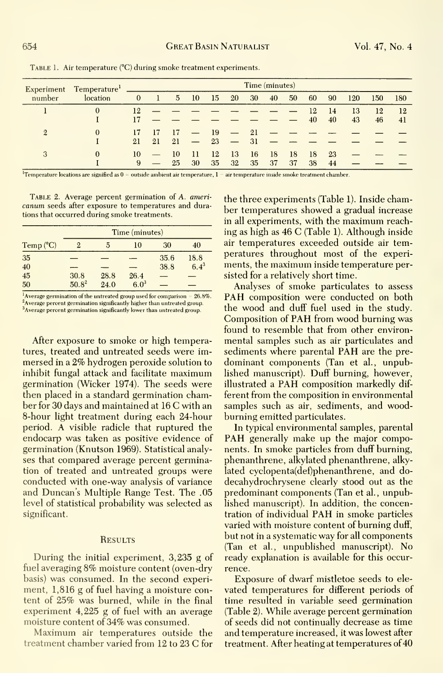Table 1. Air temperature (°C) during smoke treatment experiments.

| Experiment<br>number | Temperature <sup>1</sup><br>location | Time (minutes) |    |                 |                          |    |                                |    |    |    |    |    |     |     |     |
|----------------------|--------------------------------------|----------------|----|-----------------|--------------------------|----|--------------------------------|----|----|----|----|----|-----|-----|-----|
|                      |                                      | $\mathbf{0}$   |    | $5\overline{)}$ | 10                       | 15 | 20                             | 30 | 40 | 50 | 60 | 90 | 120 | 150 | 180 |
|                      | $\Omega$                             | 12             |    |                 |                          |    |                                |    |    |    | 12 | 14 | 13  | 12  | 12  |
|                      |                                      |                |    |                 |                          |    |                                |    |    |    | 40 | 40 | 43  | 46  | 41  |
| $\overline{2}$       | $\Omega$                             | 17             |    | 17              | $\overline{\phantom{m}}$ | 19 | $\overline{\phantom{m}}$       | 21 |    |    |    |    |     |     |     |
|                      |                                      | 21             | 21 | 21              | $\overline{\phantom{m}}$ | 23 | <b>Contract Contract State</b> | 31 |    |    |    |    |     |     |     |
| 3                    | $\theta$                             | 10             |    | 10              | 11                       | 12 | 13                             | 16 | 18 | 18 | 18 | 23 |     |     |     |
|                      |                                      | 9              |    | 25              | 30                       | 35 | 32                             | 35 | 37 | 37 | 38 | 44 |     |     |     |

<sup>1</sup>Temperature locations are signified as  $0 =$  outside ambient air temperature,  $1 -$  air temperature inside smoke treatment chamber.

TABLE 2. Average percent germination of A. americanum seeds after exposure to temperatures and durations that occurred during smoke treatments.

|            | Time (minutes) |      |         |      |           |  |  |  |  |  |
|------------|----------------|------|---------|------|-----------|--|--|--|--|--|
| Temp $(C)$ | 2              | 5    | 10      | 30   | 40        |  |  |  |  |  |
| 35         |                |      |         | 35.6 | 18.8      |  |  |  |  |  |
| 40         |                |      |         | 38.8 | $6.4^{3}$ |  |  |  |  |  |
| 45         | 30.8           | 28.8 | 26.4    |      |           |  |  |  |  |  |
| 50         | $50.8^2$       | 24.0 | $6.0^3$ |      |           |  |  |  |  |  |

<sup>1</sup>Average germination of the untreated group used for comparison =  $26.8\%$ . <sup>2</sup>Average percent germination significantly higher than untreated group. <sup>3</sup>Average percent germination significantly lower than untreated group.

After exposure to smoke or high temperatures, treated and untreated seeds were immersed in a 2% hydrogen peroxide solution to inhibit fungal attack and facilitate maximum germination (Wicker 1974). The seeds were then placed in a standard germination chamber for 30 days and maintained at 16 C with an 8-hour light treatment during each 24-hour period. A visible radicle that ruptured the endocarp was taken as positive evidence of germination (Knutson 1969). Statistical analyses that compared average percent germination of treated and untreated groups were conducted with one-way analysis of variance and Duncan's Multiple Range Test. The .05 level of statistical probability was selected as significant.

#### **RESULTS**

During the initial experiment, 3,235 g of fuel averaging 8% moisture content (oven-dry basis) was consumed. In the second experiment, 1,816 g of fuel having a moisture content of 25% was burned, while in the final experiment  $4,225$  g of fuel with an average moisture content of 34% was consumed.

Maximum air temperatures outside the treatment chamber varied from 12 to 23 C for the three experiments (Table 1). Inside chamber temperatures showed a gradual increase in all experiments, with the maximum reaching as high as 46 C (Table 1). Although inside air temperatures exceeded outside air temperatures throughout most of the experiments, the maximum inside temperature persisted for a relatively short time.

Analyses of smoke particulates to assess PAH composition were conducted on both the wood and duff fuel used in the study. Composition of PAH from wood burning was found to resemble that from other environmental samples such as air particulates and sediments where parental PAH are the predominant components (Tan et al., unpublished manuscript). Duff burning, however, illustrated a PAH composition markedly different from the composition in environmental samples such as air, sediments, and woodburning emitted particulates.

In typical environmental samples, parental PAH generally make up the major components. In smoke particles from duff burning, phenanthrene, alkylated phenanthrene, alkylated cyclopenta(def)phenanthrene, and dodecahydrochrysene clearly stood out as the predominant components (Tan et al., unpublished manuscript). In addition, the concentration of individual PAH in smoke particles varied with moisture content of burning duff, but not in a systematic way for all components (Tan et al., unpublished manuscript). No ready explanation is available for this occurrence.

Exposure of dwarf mistletoe seeds to elevated temperatures for different periods of time resulted in variable seed germination (Table 2). While average percent germination of seeds did not continually decrease as time and temperature increased, it was lowest after treatment. After heating at temperatures of 40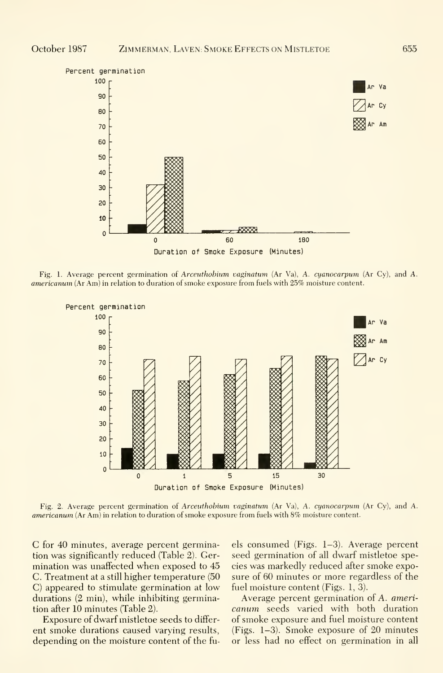

Fig. 1. Average percent germination of *Arceuthobium vaginatum* (Ar Va), A. *cuanocarpum* (Ar Cy), and A. americanum (Ar Am) in relation to duration of smoke exposure from fuels with 25% moisture content.



Fig. 2. Average percent germination of Arceuthobium vaginatum (Ar Va), A. cyanocarpum (Ar Cy), and A. americanum (Ar Am) in relation to duration of smoke exposure from fuels with 8% moisture content.

C for 40 minutes, average percent germination was significantly reduced (Table 2). Germination was unaffected when exposed to 45 C. Treatment at a still higher temperature (50) C) appeared to stimulate germination at low durations (2 min), while inhibiting germination after 10 minutes (Table 2).

Exposure of dwarf mistletoe seeds to different smoke durations caused varying results, depending on the moisture content of the fuels consumed (Figs.  $1-3$ ). Average percent seed germination of all dwarf mistletoe species was markedly reduced after smoke exposure of 60 minutes or more regardless of the fuel moisture content (Figs. 1, 3).

Average percent germination of A. americanum seeds varied with both duration of smoke exposure and fuel moisture content (Figs.  $1-3$ ). Smoke exposure of 20 minutes or less had no effect on germination in all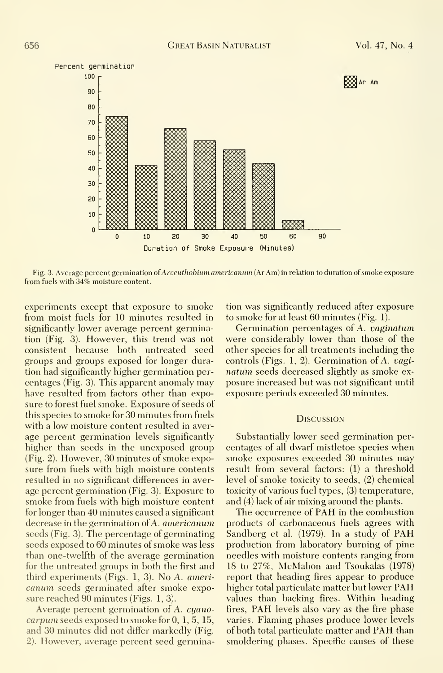

Fig. 3. Average percent germination of Arceuthobium americanum (Ar Am) in relation to duration of smoke exposure from fuels with 34% moisture content.

experiments except that exposure to smoke from moist fuels for 10 minutes resulted in significantly lower average percent germination (Fig. 3). However, this trend was not consistent because both untreated seed groups and groups exposed for longer duration had significantly higher germination per centages (Fig. 3). This apparent anomaly may have resulted from factors other than exposure to forest fuel smoke. Exposure of seeds of this species to smoke for 30 minutes from fuels with a low moisture content resulted in aver age percent germination levels significantly higher than seeds in the unexposed group (Fig. 2). However, 30 minutes of smoke exposure from fuels with high moisture contents resulted in no significant differences in aver age percent germination (Fig. 3). Exposure to smoke from fuels with high moisture content for longer than 40 minutes caused a significant decrease in the germination of A. *americanum* seeds (Fig. 3). The percentage of germinating seeds exposed to 60 minutes of smoke was less than one-twelfth of the average germination for the untreated groups in both the first and third experiments (Figs. 1, 3). No A. ameri canum seeds germinated after smoke exposure reached 90 minutes (Figs. 1, 3).

Average percent germination of A. cyanocarpum seeds exposed to smoke for 0, 1,5, 15, and 30 minutes did not differ markedly (Fig. 2). However, average percent seed germination was significantly reduced after exposure to smoke for at least 60 minutes (Fig. 1).

Germination percentages of A. vaginatum were considerably lower than those of the other species for all treatments including the controls (Figs. 1, 2). Germination of A. vaginatum seeds decreased slightly as smoke ex posure increased but was not significant until exposure periods exceeded 30 minutes.

#### **DISCUSSION**

Substantially lower seed germination per centages of all dwarf mistletoe species when smoke exposures exceeded 30 minutes may result from several factors: (1) a threshold level of smoke toxicity to seeds, (2) chemical toxicity of various fuel types, (3) temperature, and (4) lack of air mixing around the plants.

The occurrence of PAH in the combustion products of carbonaceous fuels agrees with Sandberg et al. (1979). In <sup>a</sup> study of PAH production from laboratory burning of pine needles with moisture contents ranging from 18 to 27%, McMahon and Tsoukalas (1978) report that heading fires appear to produce higher total particulate matter but lower PAH values than backing fires. Within heading fires, PAH levels also vary as the fire phase varies. Flaming phases produce lower levels of both total particulate matter and PAH than smoldering phases. Specific causes of these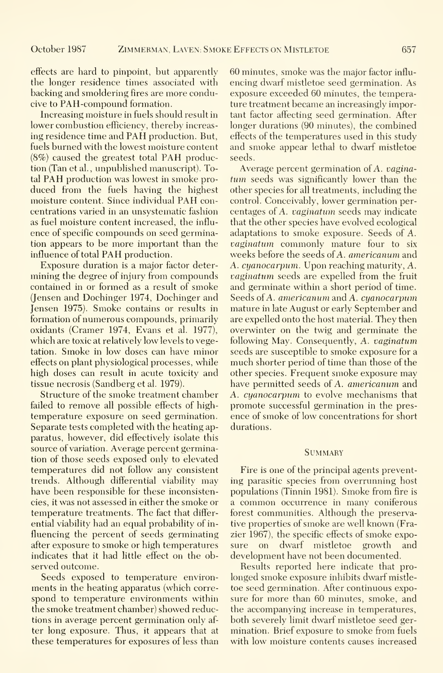effects are hard to pinpoint, but apparently the longer residence times associated with backing and smoldering fires are more conducive to PAH-compound formation.

Increasing moisture in fuels should result in lower combustion efficiency, thereby increas ing residence time and PAH production. But, fuels burned with the lowest moisture content (8%) caused the greatest total PAH production (Tan et al. , unpublished manuscript). Total PAH production was lowest in smoke pro duced from the fuels having the highest moisture content. Since individual PAH concentrations varied in an unsystematic fashion as fuel moisture content increased, the influ ence of specific compounds on seed germination appears to be more important than the influence of total PAH production.

Exposure duration is a major factor deter mining the degree of injury from compounds contained in or formed as a result of smoke (Jensen and Dochinger 1974, Dochinger and Jensen 1975). Smoke contains or results in formation of numerous compounds, primarily oxidants (Cramer 1974, Evans et al. 1977), which are toxic at relatively low levels to vegetation. Smoke in low doses can have minor effects on plant physiological processes, while high doses can result in acute toxicity and tissue necrosis (Sandberg et al. 1979).

Structure of the smoke treatment chamber failed to remove all possible effects of hightemperature exposure on seed germination. Separate tests completed with the heating apparatus, however, did effectively isolate this source of variation. Average percent germination of those seeds exposed only to elevated temperatures did not follow any consistent trends. Although differential viability may have been responsible for these inconsistencies, it was not assessed in either the smoke or temperature treatments. The fact that differ ential viability had an equal probability of in fluencing the percent of seeds germinating after exposure to smoke or high temperatures indicates that it had little effect on the observed outcome.

Seeds exposed to temperature environments in the heating apparatus (which corre spond to temperature environments within the smoke treatment chamber) showed reductions in average percent germination only af ter long exposure. Thus, it appears that at these temperatures for exposures of less than 60 minutes, smoke was the major factor influ encing dwarf mistletoe seed germination. As exposure exceeded 60 minutes, the temperature treatment became an increasingly important factor affecting seed germination. After longer durations (90 minutes), the combined effects of the temperatures used in this study and smoke appear lethal to dwarf mistletoe seeds.

Average percent germination of A. vaginatum seeds was significantly lower than the other species for all treatments, including the control. Conceivably, lower germination per centages of A. vaginatum seeds may indicate that the other species have evolved ecological adaptations to smoke exposure. Seeds of A. vaginatum commonly mature four to six weeks before the seeds of A. americanum and A. cyanocarpum. Upon reaching maturity, A. vaginatum seeds are expelled from the fruit and germinate within a short period of time. Seeds of A. americanum and A. cyanocarpum mature in late August or early September and are expelled onto the host material. They then overwinter on the twig and germinate the following May. Consequently, A. vaginatum seeds are susceptible to smoke exposure for a much shorter period of time than those of the other species. Frequent smoke exposure may have permitted seeds of A. americanum and A. cyanocarpum to evolve mechanisms that promote successful germination in the pres ence of smoke of low concentrations for short durations.

#### **SUMMARY**

Fire is one of the principal agents preventing parasitic species from overrunning host populations (Tinnin 1981). Smoke from fire is <sup>a</sup> common occurrence in many coniferous forest communities. Although the preservative properties of smoke are well known (Frazier 1967), the specific effects of smoke expoon dwarf mistletoe growth and development have not been documented.

Results reported here indicate that pro longed smoke exposure inhibits dwarf mistle toe seed germination. After continuous exposure for more than 60 minutes, smoke, and the accompanying increase in temperatures, both severely limit dwarf mistletoe seed ger mination. Brief exposure to smoke from fuels with low moisture contents causes increased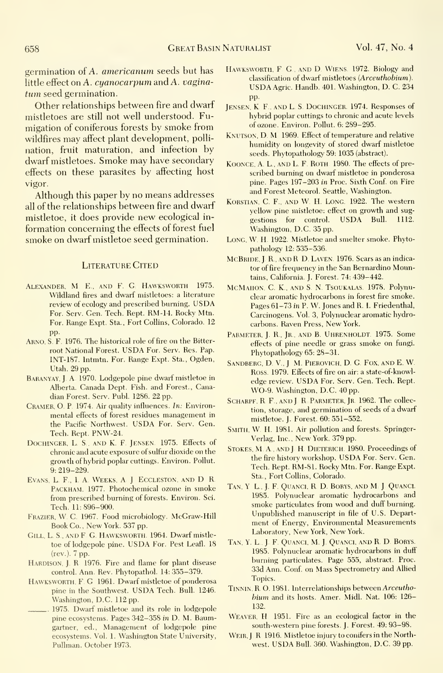germination of A. americanum seeds but has little effect on  $A. cyanocarpum$  and  $A. vagina$ tum seed germination.

Other relationships between fire and dwarf mistletoes are still not well understood. Fumigation of coniferous forests by smoke from wildfires may affect plant development, pollination, fruit maturation, and infection by dwarf mistletoes. Smoke may have secondary effects on these parasites by affecting host vigor.

Although this paper by no means addresses all of the relationships between fire and dwarf mistletoe, it does provide new ecological in formation concerning the effects of forest fuel smoke on dwarf mistletoe seed germination.

#### LITERATURE CITED

- ALEXANDER, M. E., AND F. G. HAWKSWORTH 1975. Wildland fires and dwarf mistletoes: a literature review of ecology and prescribed burning. USDA For. Serv. Gen. Tech. Kept. RM-14. Rocky Mtn. For. Range Expt. Sta., Fort Collins, Colorado. 12 pp.
- ARNO, S. F. 1976. The historical role of fire on the Bitterroot National Forest. USDA For. Serv. Res. Pap. INT-187. Intmtn. For. Range Expt. Sta., Ogden, Utah. 29 pp.
- Baranyay, J. A. 1970. Lodgepole pine dwarf mistletoe in Alberta. Canada Dept. Fish, and Forest., Canadian Forest. Serv. Publ. 1286. 22 pp.
- CRAMER, O. P. 1974. Air quality influences. In: Environmental effects of forest residues management in the Pacific Northwest. USDA For. Serv. Gen. Tech. Rept. PNW-24.
- DOCHINGER, L. S., AND K. F. JENSEN. 1975. Effects of chronic and acute exposure of sulfur dioxide on the growth of hybrid poplar cuttings. Environ. Pollut. 9; 219-229.
- Evans, L F., <sup>I</sup> A Weeks, A <sup>J</sup> Eccleston, and D R Packham. 1977. Photochemical ozone in smoke from prescribed burning of forests. Environ. Sci. Tech. 11:896-900.
- Frazier, W C, 1967. Food microbiology. McGraw-Hill Book Co. , New York. 537 pp.
- GILL, L. S., AND F. G. HAWKSWORTH. 1964. Dwarf mistletoe of lodgepole pine. USDA For, Pest Leafl. <sup>18</sup> (rev.). 7 pp.
- HARDISON, J. R. 1976. Fire and flame for plant disease control. Ann, Rev, Phytopathol, 14: 355-379,
- HAWKSWORTH, F. G. 1961. Dwarf mistletoe of ponderosa pine in the Southwest. USDA Tech, Bull. 1246, Washington, D,C. 112 pp.
- 1975. Dwarf mistletoe and its role in lodgepole pine ecosystems. Pages 342-358 in D. M. Baumgartner, ed.. Management of lodgepole pine ecosystems. Vol, 1, Washington State University, Pullman, October 1973.
- HAWKSWORTH, F. G., AND D. WIENS. 1972. Biology and classification of dwarf mistletoes (Arceuthobium). USDA Agric. Handb. 401. Washington, D, C. <sup>234</sup> pp.
- JENSEN, K. F., AND L. S. DOCHINGER. 1974. Responses of hybrid poplar cuttings to chronic and acute levels of ozone. Environ, Pollut, 6: 289-295,
- KNUTSON, D. M 1969. Effect of temperature and relative humidity on longevity of stored dwarf mistletoe seeds. Phytopathology 59: 1035 (abstract),
- KOONCE, A. L., AND L. F. ROTH 1980. The effects of prescribed burning on dwarf mistletoe in ponderosa pine. Pages 197-203 in Proc. Sixth Conf. on Fire and Forest Meteorol. Seattle, Washington,
- KORSTIAN, C. F., AND W. H. LONG. 1922. The western yellow pine mistletoe: effect on growth and suggestions for control. USDA Bull. 1112. Washington, D.C. 35 pp.
- LONG, W. H. 1922. Mistletoe and smelter smoke. Phytopathology 12: 535-536.
- MCBRIDE, J. R., AND R. D. LAVEN. 1976. Scars as an indicator of fire frequency in the San Bernardino Mountains, California, J, Forest, 74: 439-442,
- MCMAHON, C. K., AND S. N. TSOUKALAS. 1978. Polynuclear aromatic hydrocarbons in forest fire smoke. Pages 61-73 in P. W. Jones and R. I. Friedenthal, Carcinogens. Vol. 3, Polynuclear aromatic hydrocarbons. Raven Press, New York,
- PARMETER, J. R., JR., AND B. UHRENHOLDT. 1975. Some effects of pine needle or grass smoke on fungi. Phytopathology 65: 28-31.
- SANDBERG, D. V., J. M. PIEROVICH, D. G. FOX, AND E. W. Ross. 1979, Effects of fire on air: a state-of-knowl edge review. USDA For. Serv. Gen. Tech. Rept. WO-9. Washington, D.C. 40 pp.
- SCHARPF, R. F., AND J. R. PARMETER, JR. 1962. The collection, storage, and germination of seeds of a dwarf mistletoe. J. Forest. 60: 551-552.
- SMITH, W. H. 1981. Air pollution and forests. Springer-Verlag, Inc., New York. 379 pp.
- STOKES, M. A., AND J. H. DIETERICH. 1980. Proceedings of the fire history workshop, USDA For. Serv, Gen, Tech, Rept, RM-81, Rocky Mtn. For. Range Expt. Sta., Fort Collins, Colorado.
- TAN, Y L., J. F. QUANCI, R. D. BORYS, AND M J. QUANCI. 1985, Polynuclear aromatic hydrocarbons and smoke particulates from wood and duff burning. Unpublished manuscript in file of U.S. Depart ment of Energy, Environmental Measurements Laboratory, New York, New York.
- TAN, Y. L., J. F. QUANCI, M. J. QUANCI, AND R. D. BORYS. 1985. Polynuclear aromatic hydrocarbons in duff burning particulates. Page 555, abstract. Proc. 33d Ann. Conf. on Mass Spectrometry and Allied Topics,
- TINNIN, R. O. 1981. Interrelationships between *Arceutho*bium and its hosts, Amer. Midi. Nat. 106: 126- 1,32,
- Weaver, H 1951. Fire as an ecological factor in the south-western pine forests. J. Forest. 49: 93-98.
- WEIR, J. R. 1916. Mistletoe injury to conifers in the Northwest, USDA Bull, 360. Washington, D.C. <sup>39</sup> pp.